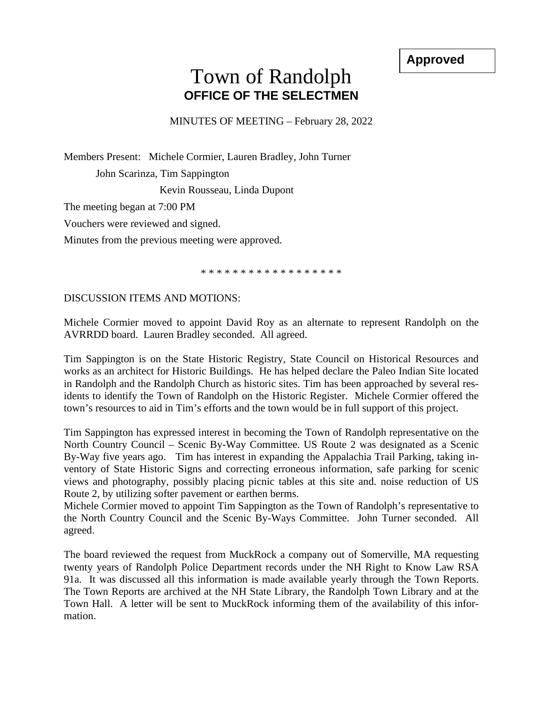**Approved**

## Town of Randolph **OFFICE OF THE SELECTMEN**

MINUTES OF MEETING – February 28, 2022

Members Present: Michele Cormier, Lauren Bradley, John Turner John Scarinza, Tim Sappington

Kevin Rousseau, Linda Dupont

The meeting began at 7:00 PM

Vouchers were reviewed and signed.

Minutes from the previous meeting were approved.

\* \* \* \* \* \* \* \* \* \* \* \* \* \* \* \* \* \*

DISCUSSION ITEMS AND MOTIONS:

Michele Cormier moved to appoint David Roy as an alternate to represent Randolph on the AVRRDD board. Lauren Bradley seconded. All agreed.

Tim Sappington is on the State Historic Registry, State Council on Historical Resources and works as an architect for Historic Buildings. He has helped declare the Paleo Indian Site located in Randolph and the Randolph Church as historic sites. Tim has been approached by several residents to identify the Town of Randolph on the Historic Register. Michele Cormier offered the town's resources to aid in Tim's efforts and the town would be in full support of this project.

Tim Sappington has expressed interest in becoming the Town of Randolph representative on the North Country Council – Scenic By-Way Committee. US Route 2 was designated as a Scenic By-Way five years ago. Tim has interest in expanding the Appalachia Trail Parking, taking inventory of State Historic Signs and correcting erroneous information, safe parking for scenic views and photography, possibly placing picnic tables at this site and. noise reduction of US Route 2, by utilizing softer pavement or earthen berms.

Michele Cormier moved to appoint Tim Sappington as the Town of Randolph's representative to the North Country Council and the Scenic By-Ways Committee. John Turner seconded. All agreed.

The board reviewed the request from MuckRock a company out of Somerville, MA requesting twenty years of Randolph Police Department records under the NH Right to Know Law RSA 91a. It was discussed all this information is made available yearly through the Town Reports. The Town Reports are archived at the NH State Library, the Randolph Town Library and at the Town Hall. A letter will be sent to MuckRock informing them of the availability of this information.